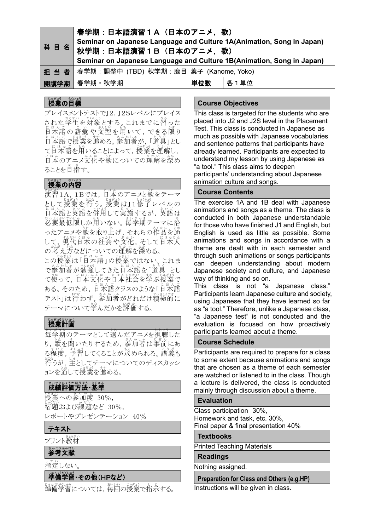| 春学期:日本語演習1A(日本のアニメ,歌)<br>Seminar on Japanese Language and Culture 1A(Animation, Song in Japan)<br>科 目 名   秋学期 : 日本語演習 1 B (日本のアニメ, 歌)<br>Seminar on Japanese Language and Culture 1B(Animation, Song in Japan) |     |      |
|----------------------------------------------------------------------------------------------------------------------------------------------------------------------------------------------------------------|-----|------|
| 担 当 者   春学期: 調整中 (TBD) 秋学期: 鹿目 葉子 (Kanome, Yoko)                                                                                                                                                               |     |      |
| 開講学期 春学期・秋学期                                                                                                                                                                                                   | 単位数 | 各1単位 |

# <sub>じゅぎょう</sub><br>授業の目標

プレイスメントテストでJ2, J2Sレベルにプレイス された学生を対象とする。これまでに習った にょんぎ の 語彙 や 文型 を 用 い て, できる 隠り にほんごで授業を進める。参加者が、「道具」とし て日本語を用いることによって,授業を理解し, にはんのアニメ文化や歌についての理解を深め ることを自指す。

## 。。。。。。<br>授業の内容

<u>\*\*は。</u><br>演習1A, 1Bでは, 日本のアニメと歌をテーマ として授業を行う。授業はJ1修了レベルの にはん言と英語を併用して実施するが、英語は 。おいて。<br>必要最低限しか用いない。 毎学期テーマに沿 ったアニメや歌を取り上げ、それらの作品を通 して、現代日本の社会や文化,そして日本人 の考え方などについての理解を深める。

この授業は「旨なぎ」の授業ではない。これま で参加者が勉強してきた日本語を「道具」とし て使って,日本文化や日本社会を学ぶ授業で ある。そのため,日本語クラスのような「Eほんご<br>-テスト」は行わず,参加者がどれだけ積極的に テーマについて学んだかを評価する。

## 。<br>**授業計画**

ま、。。<br>毎学期のテーマとして選んだアニメを視聴した り,歌を聞いたりするため,参加者は事前にあ る程度,予習してくることが求められる。講義も <sub>お。</sub><br>行うが, 主としてテーマについてのディスカッシ ョンを通して授業を進める。

## 世界を持ち、まいている。<br>成績評価方法・基準

- <br>授業への参加度 30%, しゅくだい<br>宿題および課題など 30%, レポートやプレゼンテーション 40%

### テキスト

プリント教材

### <sub>るんこうぶんけん</sub>

」。<br>指定しない。

# じゅんびへい。う<br>準備学習・その他(HPなど)

<sub>じゅんびがいわ</sub>。<br>準備学習については,毎回の授業で指示する。

### **Course Objectives**

This class is targeted for the students who are placed into J2 and J2S level in the Placement Test. This class is conducted in Japanese as much as possible with Japanese vocabularies and sentence patterns that participants have already learned. Participants are expected to understand my lesson by using Japanese as "a tool." This class aims to deepen participants' understanding about Japanese animation culture and songs.

### **Course Contents**

The exercise 1A and 1B deal with Japanese animations and songs as a theme. The class is conducted in both Japanese understandable for those who have finished J1 and English, but English is used as little as possible. Some animations and songs in accordance with a theme are dealt with in each semester and through such animations or songs participants can deepen understanding about modern Japanese society and culture, and Japanese way of thinking and so on.

This class is not "a Japanese class." Participants learn Japanese culture and society, using Japanese that they have learned so far as "a tool." Therefore, unlike a Japanese class, "a Japanese test" is not conducted and the evaluation is focused on how proactively participants learned about a theme.

### **Course Schedule**

Participants are required to prepare for a class to some extent because animations and songs that are chosen as a theme of each semester are watched or listened to in the class. Though a lecture is delivered, the class is conducted mainly through discussion about a theme.

### **Evaluation**

Class participation 30%, Homework and task, etc. 30%, Final paper & final presentation 40%

#### **Textbooks**

Printed Teaching Materials

#### **Readings**

Nothing assigned.

**Preparation for Class and Others (e.g.HP)**

Instructions will be given in class.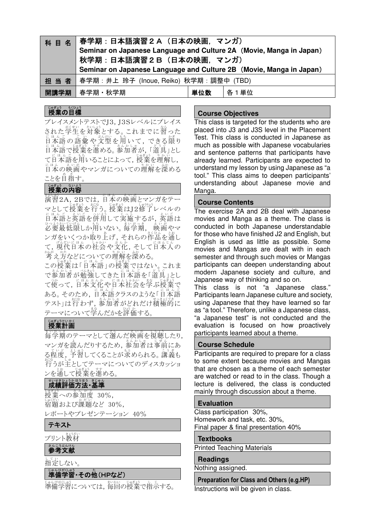| 科 目  | <b> 名 │春学期:日本語演習2A(日本の映画, マンガ)</b><br>Seminar on Japanese Language and Culture 2A (Movie, Manga in Japan)<br>秋学期:日本語演習2B (日本の映画, マンガ) |     |      |  |
|------|---------------------------------------------------------------------------------------------------------------------------------------|-----|------|--|
|      | Seminar on Japanese Language and Culture 2B (Movie, Manga in Japan)<br>担 当 者   春学期 : 井上 玲子 (Inoue, Reiko) 秋学期 : 調整中 (TBD)             |     |      |  |
| 開講学期 | 春学期・秋学期                                                                                                                               | 単位数 | 各1単位 |  |

# <sub>じゅぎょう</sub> もくひょう<br>**授業の目標**

プレイスメントテストでJ3,J3Sレベルにプレイス された学生を対象とする。これまでに習った にょん。<br>日本語の語彙や文型を用いて, できる限り にほんごで授業を進める。参加者が、「道具」とし て日本語を用いることによって,授業を理解し, にはんの映画やマンガについての理解を深める ことを自指す。

## 授業 じゅぎょう の内容 な い よ う

演習 えんしゅう 2A,2Bでは,日本 に ほ ん の映画 え い が とマンガをテー <sub>マとして</sub>授業を行う。授業はJ2修了レベルの にはん言とうだいだい」というか、あい言は 必要 ひ つ よ う 最低限 さ い て い げ ん しか用 も ち いない。毎学期 ま い が っ き , 映画 え い が やマ ンガをいくつか取り上げ,それらの作品を蓪し て,現代日本の社会や文化,そして日本人の *。。。。*<br>考え方などについての理解を深める。

この授業は「日本語」の授業ではない。これま で参加者が勉強してきた日本語を「道具」とし て使って,日本文化や日本社会を学ぶ授業で ある。そのため,日本語クラスのような「Eほんご<br>ある。そのため,日本語クラスのような「日本語 テスト」は行わず,参加者がどれだけ積極的に テーマについて学んだかを評価する。

# しゅぎょうけいかく

毎学期 ま い が っ き のテーマとして選 え ら んだ映画 え い が を視聴 し ち ょ う したり, マンガを読んだりするため, 参加者は事前にあ る程度, 予習してくることが求められる。 講義も <sub>おな</sub><br>行うが主としてテーマについてのディスカッショ ンを通して授業を進める。

## 世界を持ってきまい。<br>**成績評価方法・基準**

……<br>授業への参加度 30%, ↓☆☆☆<br>宿題および課題など 30%, レポートやプレゼンテーション 40%

### テキスト

プリント教材

## ≛んこぅぶんけん<br>**参考文献**

」。<br>指定しない。

# 準備 じ ゅ ん び 学習 がくしゅう ・その他 た (HPなど)

準備 じ ゅ ん び 学習 がくしゅう については,毎回 まいかい の授業 じゅぎょう で指示 し じ する。

### **Course Objectives**

This class is targeted for the students who are placed into J3 and J3S level in the Placement Test. This class is conducted in Japanese as much as possible with Japanese vocabularies and sentence patterns that participants have already learned. Participants are expected to understand my lesson by using Japanese as "a tool." This class aims to deepen participants' understanding about Japanese movie and Manga.

### **Course Contents**

The exercise 2A and 2B deal with Japanese movies and Manga as a theme. The class is conducted in both Japanese understandable for those who have finished J2 and English, but English is used as little as possible. Some movies and Mangas are dealt with in each semester and through such movies or Mangas participants can deepen understanding about modern Japanese society and culture, and Japanese way of thinking and so on.

This class is not "a Japanese class." Participants learn Japanese culture and society, using Japanese that they have learned so far as "a tool." Therefore, unlike a Japanese class, "a Japanese test" is not conducted and the evaluation is focused on how proactively participants learned about a theme.

### **Course Schedule**

Participants are required to prepare for a class to some extent because movies and Mangas that are chosen as a theme of each semester are watched or read to in the class. Though a lecture is delivered, the class is conducted mainly through discussion about a theme.

### **Evaluation**

Class participation 30%, Homework and task, etc. 30%, Final paper & final presentation 40%

### **Textbooks**

Printed Teaching Materials

### **Readings**

Nothing assigned.

**Preparation for Class and Others (e.g.HP)**

Instructions will be given in class.